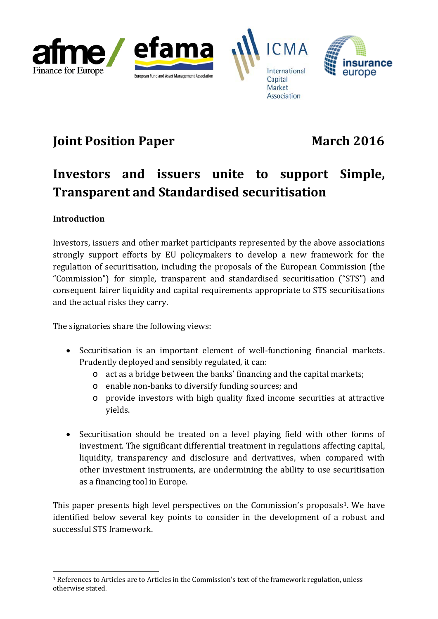



Capital Market Association

# **Joint Position Paper March** 2016

# **Investors and issuers unite to support Simple, Transparent and Standardised securitisation**

# **Introduction**

Investors, issuers and other market participants represented by the above associations strongly support efforts by EU policymakers to develop a new framework for the regulation of securitisation, including the proposals of the European Commission (the "Commission") for simple, transparent and standardised securitisation ("STS") and consequent fairer liquidity and capital requirements appropriate to STS securitisations and the actual risks they carry.

The signatories share the following views:

- Securitisation is an important element of well-functioning financial markets. Prudently deployed and sensibly regulated, it can:
	- o act as a bridge between the banks' financing and the capital markets;
	- o enable non-banks to diversify funding sources; and
	- o provide investors with high quality fixed income securities at attractive yields.
- Securitisation should be treated on a level playing field with other forms of investment. The significant differential treatment in regulations affecting capital, liquidity, transparency and disclosure and derivatives, when compared with other investment instruments, are undermining the ability to use securitisation as a financing tool in Europe.

This paper presents high level perspectives on the Commission's proposals<sup>1</sup>. We have identified below several key points to consider in the development of a robust and successful STS framework.

<span id="page-0-0"></span> <sup>1</sup> References to Articles are to Articles in the Commission's text of the framework regulation, unless otherwise stated.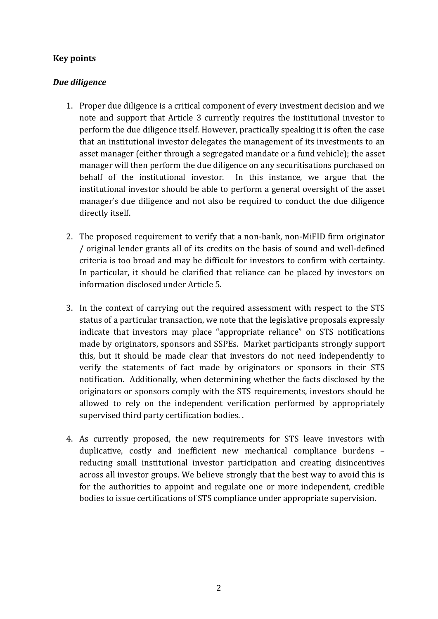# **Key points**

## *Due diligence*

- 1. Proper due diligence is a critical component of every investment decision and we note and support that Article 3 currently requires the institutional investor to perform the due diligence itself. However, practically speaking it is often the case that an institutional investor delegates the management of its investments to an asset manager (either through a segregated mandate or a fund vehicle); the asset manager will then perform the due diligence on any securitisations purchased on behalf of the institutional investor. In this instance, we argue that the institutional investor should be able to perform a general oversight of the asset manager's due diligence and not also be required to conduct the due diligence directly itself.
- 2. The proposed requirement to verify that a non-bank, non-MiFID firm originator / original lender grants all of its credits on the basis of sound and well-defined criteria is too broad and may be difficult for investors to confirm with certainty. In particular, it should be clarified that reliance can be placed by investors on information disclosed under Article 5.
- 3. In the context of carrying out the required assessment with respect to the STS status of a particular transaction, we note that the legislative proposals expressly indicate that investors may place "appropriate reliance" on STS notifications made by originators, sponsors and SSPEs. Market participants strongly support this, but it should be made clear that investors do not need independently to verify the statements of fact made by originators or sponsors in their STS notification. Additionally, when determining whether the facts disclosed by the originators or sponsors comply with the STS requirements, investors should be allowed to rely on the independent verification performed by appropriately supervised third party certification bodies. .
- 4. As currently proposed, the new requirements for STS leave investors with duplicative, costly and inefficient new mechanical compliance burdens – reducing small institutional investor participation and creating disincentives across all investor groups. We believe strongly that the best way to avoid this is for the authorities to appoint and regulate one or more independent, credible bodies to issue certifications of STS compliance under appropriate supervision.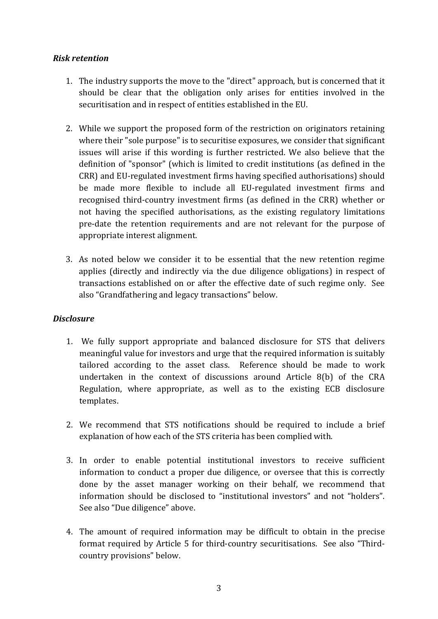## *Risk retention*

- 1. The industry supports the move to the "direct" approach, but is concerned that it should be clear that the obligation only arises for entities involved in the securitisation and in respect of entities established in the EU.
- 2. While we support the proposed form of the restriction on originators retaining where their "sole purpose" is to securitise exposures, we consider that significant issues will arise if this wording is further restricted. We also believe that the definition of "sponsor" (which is limited to credit institutions (as defined in the CRR) and EU-regulated investment firms having specified authorisations) should be made more flexible to include all EU-regulated investment firms and recognised third-country investment firms (as defined in the CRR) whether or not having the specified authorisations, as the existing regulatory limitations pre-date the retention requirements and are not relevant for the purpose of appropriate interest alignment.
- 3. As noted below we consider it to be essential that the new retention regime applies (directly and indirectly via the due diligence obligations) in respect of transactions established on or after the effective date of such regime only. See also "Grandfathering and legacy transactions" below.

#### *Disclosure*

- 1. We fully support appropriate and balanced disclosure for STS that delivers meaningful value for investors and urge that the required information is suitably tailored according to the asset class. Reference should be made to work undertaken in the context of discussions around Article 8(b) of the CRA Regulation, where appropriate, as well as to the existing ECB disclosure templates.
- 2. We recommend that STS notifications should be required to include a brief explanation of how each of the STS criteria has been complied with.
- 3. In order to enable potential institutional investors to receive sufficient information to conduct a proper due diligence, or oversee that this is correctly done by the asset manager working on their behalf, we recommend that information should be disclosed to "institutional investors" and not "holders". See also "Due diligence" above.
- 4. The amount of required information may be difficult to obtain in the precise format required by Article 5 for third-country securitisations. See also "Thirdcountry provisions" below.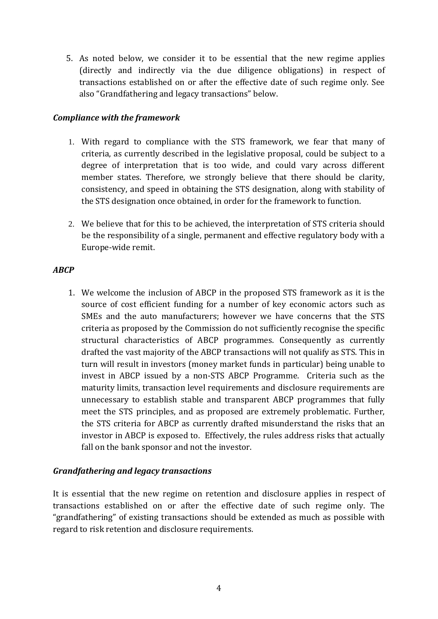5. As noted below, we consider it to be essential that the new regime applies (directly and indirectly via the due diligence obligations) in respect of transactions established on or after the effective date of such regime only. See also "Grandfathering and legacy transactions" below.

## *Compliance with the framework*

- 1. With regard to compliance with the STS framework, we fear that many of criteria, as currently described in the legislative proposal, could be subject to a degree of interpretation that is too wide, and could vary across different member states. Therefore, we strongly believe that there should be clarity, consistency, and speed in obtaining the STS designation, along with stability of the STS designation once obtained, in order for the framework to function.
- 2. We believe that for this to be achieved, the interpretation of STS criteria should be the responsibility of a single, permanent and effective regulatory body with a Europe-wide remit.

#### *ABCP*

1. We welcome the inclusion of ABCP in the proposed STS framework as it is the source of cost efficient funding for a number of key economic actors such as SMEs and the auto manufacturers; however we have concerns that the STS criteria as proposed by the Commission do not sufficiently recognise the specific structural characteristics of ABCP programmes. Consequently as currently drafted the vast majority of the ABCP transactions will not qualify as STS. This in turn will result in investors (money market funds in particular) being unable to invest in ABCP issued by a non-STS ABCP Programme. Criteria such as the maturity limits, transaction level requirements and disclosure requirements are unnecessary to establish stable and transparent ABCP programmes that fully meet the STS principles, and as proposed are extremely problematic. Further, the STS criteria for ABCP as currently drafted misunderstand the risks that an investor in ABCP is exposed to. Effectively, the rules address risks that actually fall on the bank sponsor and not the investor.

#### *Grandfathering and legacy transactions*

It is essential that the new regime on retention and disclosure applies in respect of transactions established on or after the effective date of such regime only. The "grandfathering" of existing transactions should be extended as much as possible with regard to risk retention and disclosure requirements.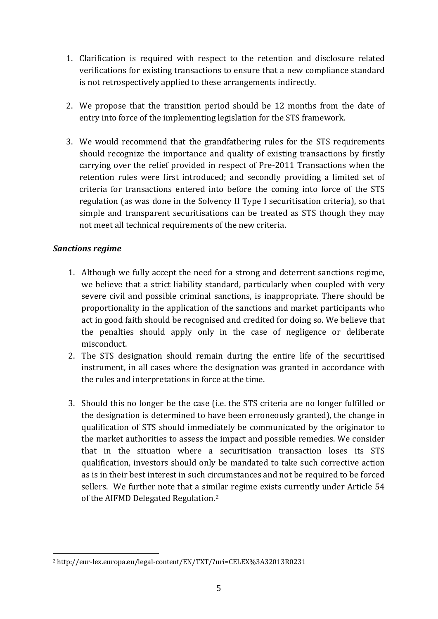- 1. Clarification is required with respect to the retention and disclosure related verifications for existing transactions to ensure that a new compliance standard is not retrospectively applied to these arrangements indirectly.
- 2. We propose that the transition period should be 12 months from the date of entry into force of the implementing legislation for the STS framework.
- 3. We would recommend that the grandfathering rules for the STS requirements should recognize the importance and quality of existing transactions by firstly carrying over the relief provided in respect of Pre-2011 Transactions when the retention rules were first introduced; and secondly providing a limited set of criteria for transactions entered into before the coming into force of the STS regulation (as was done in the Solvency II Type I securitisation criteria), so that simple and transparent securitisations can be treated as STS though they may not meet all technical requirements of the new criteria.

# *Sanctions regime*

- 1. Although we fully accept the need for a strong and deterrent sanctions regime, we believe that a strict liability standard, particularly when coupled with very severe civil and possible criminal sanctions, is inappropriate. There should be proportionality in the application of the sanctions and market participants who act in good faith should be recognised and credited for doing so. We believe that the penalties should apply only in the case of negligence or deliberate misconduct.
- 2. The STS designation should remain during the entire life of the securitised instrument, in all cases where the designation was granted in accordance with the rules and interpretations in force at the time.
- 3. Should this no longer be the case (i.e. the STS criteria are no longer fulfilled or the designation is determined to have been erroneously granted), the change in qualification of STS should immediately be communicated by the originator to the market authorities to assess the impact and possible remedies. We consider that in the situation where a securitisation transaction loses its STS qualification, investors should only be mandated to take such corrective action as is in their best interest in such circumstances and not be required to be forced sellers. We further note that a similar regime exists currently under Article 54 of the AIFMD Delegated Regulation.[2](#page-4-0)

<span id="page-4-0"></span> <sup>2</sup> http://eur-lex.europa.eu/legal-content/EN/TXT/?uri=CELEX%3A32013R0231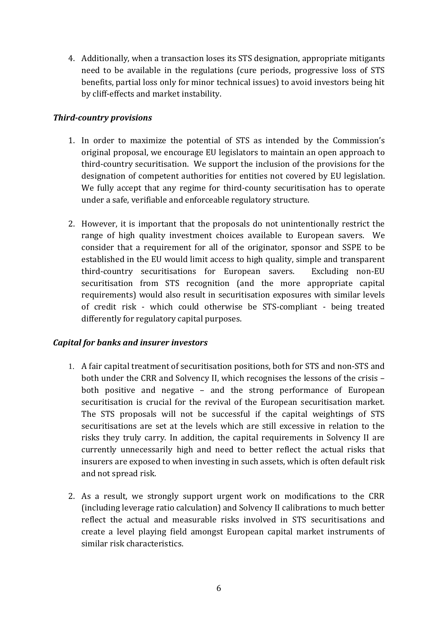4. Additionally, when a transaction loses its STS designation, appropriate mitigants need to be available in the regulations (cure periods, progressive loss of STS benefits, partial loss only for minor technical issues) to avoid investors being hit by cliff-effects and market instability.

# *Third-country provisions*

- 1. In order to maximize the potential of STS as intended by the Commission's original proposal, we encourage EU legislators to maintain an open approach to third-country securitisation. We support the inclusion of the provisions for the designation of competent authorities for entities not covered by EU legislation. We fully accept that any regime for third-county securitisation has to operate under a safe, verifiable and enforceable regulatory structure.
- 2. However, it is important that the proposals do not unintentionally restrict the range of high quality investment choices available to European savers. We consider that a requirement for all of the originator, sponsor and SSPE to be established in the EU would limit access to high quality, simple and transparent third-country securitisations for European savers. Excluding non-EU securitisation from STS recognition (and the more appropriate capital requirements) would also result in securitisation exposures with similar levels of credit risk - which could otherwise be STS-compliant - being treated differently for regulatory capital purposes.

#### *Capital for banks and insurer investors*

- 1. A fair capital treatment of securitisation positions, both for STS and non-STS and both under the CRR and Solvency II, which recognises the lessons of the crisis – both positive and negative – and the strong performance of European securitisation is crucial for the revival of the European securitisation market. The STS proposals will not be successful if the capital weightings of STS securitisations are set at the levels which are still excessive in relation to the risks they truly carry. In addition, the capital requirements in Solvency II are currently unnecessarily high and need to better reflect the actual risks that insurers are exposed to when investing in such assets, which is often default risk and not spread risk.
- 2. As a result, we strongly support urgent work on modifications to the CRR (including leverage ratio calculation) and Solvency II calibrations to much better reflect the actual and measurable risks involved in STS securitisations and create a level playing field amongst European capital market instruments of similar risk characteristics.